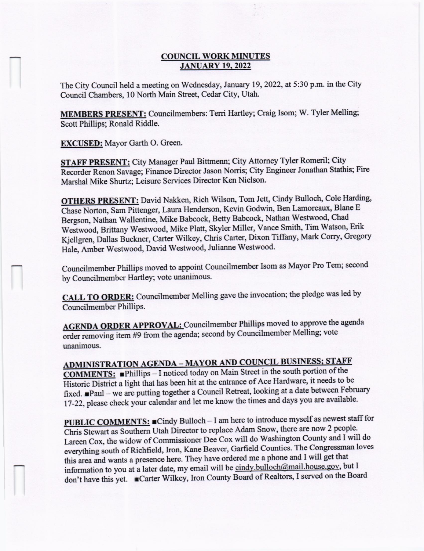### **COUNCIL WORK MINUTES** JANUARY 19.2022

The City Council held a meeting on Wednesday, January 19, 2022, at 5:3O p.m. in the City Council Chambers, 10 North Main Street, Cedar City, Utah.

MEMBERS PRESENT: Councilmernbers: Terri Hartley; Craig Isom; W. Tyler Melling; Scott Phillips; Ronald Riddle.

EXCUSED: Mayor Garth O. Green.

STAFF PRESENT: City Manager Paul Bittmenn; City Attorney Tyler Romeril; City Recorder Renon Savage; Finance Director Jason Norris; City Engineer Jonathan Stathis; Fire Marshal Mike Shurtz; Leisure Services Director Ken Nielson'

OTHERS PRESENT: David Nakken, Rich wilson, Tom Jett, Cindy Bulloch, cole Harding, Chase Norton, Sam Pittenger, Laura Henderson, Kevin Godwin, Ben Lamoreaux, Blane E Bergson, Nathan Wallentine, Mike Babcock, Betty Babcock, Nathan Westwood, Chad Westwood, Brittany Westwood, Mike Platt, Skyler Miller, Vance Smith, Tim Watson, Erik Kjellgren, Dallas Buckner, Carter Wilkey, Chris Carter, Dixon Tiffany, Mark Corry, Gregory Hale, Amber Westwood, David Westwood, Julianne Westwood.

councilmernber Phillips moved to appoint councilmember Isom as Mayor Pro Tern; second by Councilmernber Hartley; vote unanimous.

CALL TO ORDER: Councilmember Melling gave the invocation; the pledge was led by Councilmember Phillips.

AGENDA ORDER APPROVAL: Councilmember Phillips moved to approve the agenda order rernoving item #9 from the agenda; second by Councilmember Melling; vote unanimous.

ADMINISTRATION AGENDA - MAYOR AND COUNCIL BUSINESS; STAFF **COMMENTS:** Phillips - I noticed today on Main Street in the south portion of the Historic District a light that has been hit at the entrance of Ace Hardware, it needs to be fixed. Paul - we are putting together a Council Retreat, looking at a date between February 17-22, please check your calendar and let me know the times and days you are available.

**PUBLIC COMMENTS:** Cindy Bulloch - I am here to introduce myself as newest staff for Chrii Stewart as Southem Utah Director to replace Adam Snow, there are now 2 people. Lareen Cox, the widow of Commissioner Dee Cox will do Washington County and I will do everything south of Richfield, Iron, Kane Beaver, Garfield Counties. The Congressman loves this area and wants a presence here. They have ordered me a phone and I will get that information to you at a later date, my email will be cindy.bulloch@mail.house.gov, but I don't have this yet. **Carter Wilkey, Iron County Board of Realtors, I served on the Board**